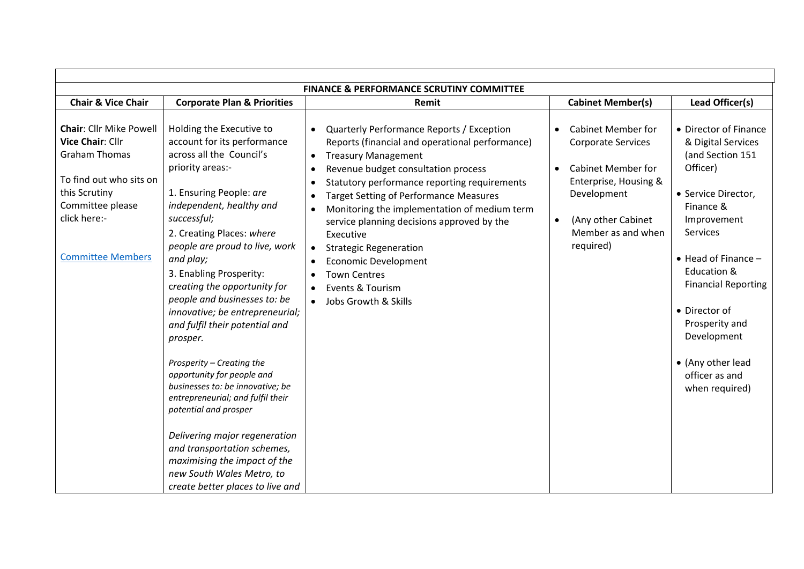| <b>FINANCE &amp; PERFORMANCE SCRUTINY COMMITTEE</b>                                                                                                                                    |                                                                                                                                                                                                                                                                                                                                                                                                                                                                                                                                                                                                                                                                                                                                                                     |                                                                                                                                                                                                                                                                                                                                                                                                                                                                                                                                                                                                                          |                                                                                                                                                                                                                             |                                                                                                                                                                                                                                                                                                                                          |  |  |  |  |
|----------------------------------------------------------------------------------------------------------------------------------------------------------------------------------------|---------------------------------------------------------------------------------------------------------------------------------------------------------------------------------------------------------------------------------------------------------------------------------------------------------------------------------------------------------------------------------------------------------------------------------------------------------------------------------------------------------------------------------------------------------------------------------------------------------------------------------------------------------------------------------------------------------------------------------------------------------------------|--------------------------------------------------------------------------------------------------------------------------------------------------------------------------------------------------------------------------------------------------------------------------------------------------------------------------------------------------------------------------------------------------------------------------------------------------------------------------------------------------------------------------------------------------------------------------------------------------------------------------|-----------------------------------------------------------------------------------------------------------------------------------------------------------------------------------------------------------------------------|------------------------------------------------------------------------------------------------------------------------------------------------------------------------------------------------------------------------------------------------------------------------------------------------------------------------------------------|--|--|--|--|
| <b>Chair &amp; Vice Chair</b>                                                                                                                                                          | <b>Corporate Plan &amp; Priorities</b>                                                                                                                                                                                                                                                                                                                                                                                                                                                                                                                                                                                                                                                                                                                              | Remit                                                                                                                                                                                                                                                                                                                                                                                                                                                                                                                                                                                                                    | <b>Cabinet Member(s)</b>                                                                                                                                                                                                    | Lead Officer(s)                                                                                                                                                                                                                                                                                                                          |  |  |  |  |
| <b>Chair: Cllr Mike Powell</b><br>Vice Chair: Cllr<br><b>Graham Thomas</b><br>To find out who sits on<br>this Scrutiny<br>Committee please<br>click here:-<br><b>Committee Members</b> | Holding the Executive to<br>account for its performance<br>across all the Council's<br>priority areas:-<br>1. Ensuring People: are<br>independent, healthy and<br>successful;<br>2. Creating Places: where<br>people are proud to live, work<br>and play;<br>3. Enabling Prosperity:<br>creating the opportunity for<br>people and businesses to: be<br>innovative; be entrepreneurial;<br>and fulfil their potential and<br>prosper.<br>Prosperity - Creating the<br>opportunity for people and<br>businesses to: be innovative; be<br>entrepreneurial; and fulfil their<br>potential and prosper<br>Delivering major regeneration<br>and transportation schemes,<br>maximising the impact of the<br>new South Wales Metro, to<br>create better places to live and | Quarterly Performance Reports / Exception<br>$\bullet$<br>Reports (financial and operational performance)<br><b>Treasury Management</b><br>$\bullet$<br>Revenue budget consultation process<br>$\bullet$<br>Statutory performance reporting requirements<br>$\bullet$<br><b>Target Setting of Performance Measures</b><br>Monitoring the implementation of medium term<br>$\bullet$<br>service planning decisions approved by the<br>Executive<br><b>Strategic Regeneration</b><br>$\bullet$<br><b>Economic Development</b><br>$\bullet$<br><b>Town Centres</b><br>Events & Tourism<br>$\bullet$<br>Jobs Growth & Skills | <b>Cabinet Member for</b><br>$\bullet$<br><b>Corporate Services</b><br><b>Cabinet Member for</b><br>$\bullet$<br>Enterprise, Housing &<br>Development<br>(Any other Cabinet<br>$\bullet$<br>Member as and when<br>required) | • Director of Finance<br>& Digital Services<br>(and Section 151<br>Officer)<br>• Service Director,<br>Finance &<br>Improvement<br><b>Services</b><br>$\bullet$ Head of Finance -<br>Education &<br><b>Financial Reporting</b><br>• Director of<br>Prosperity and<br>Development<br>• (Any other lead<br>officer as and<br>when required) |  |  |  |  |